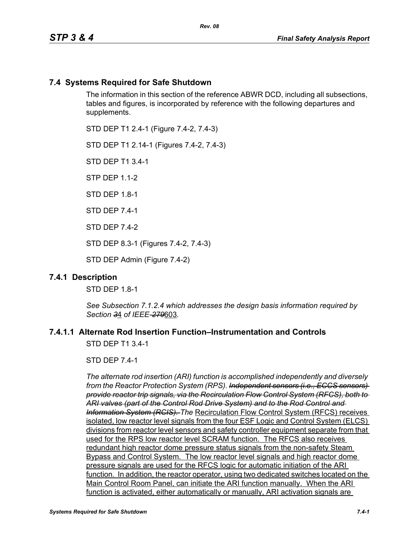# **7.4 Systems Required for Safe Shutdown**

The information in this section of the reference ABWR DCD, including all subsections, tables and figures, is incorporated by reference with the following departures and supplements.

STD DEP T1 2.4-1 (Figure 7.4-2, 7.4-3)

STD DEP T1 2.14-1 (Figures 7.4-2, 7.4-3)

STD DEP T1 3.4-1

STP DEP 1.1-2

STD DFP 18-1

STD DEP 7.4-1

STD DEP 7.4-2

STD DEP 8.3-1 (Figures 7.4-2, 7.4-3)

STD DEP Admin (Figure 7.4-2)

### **7.4.1 Description**

STD DEP 1.8-1

*See Subsection 7.1.2.4 which addresses the design basis information required by Section 3*4 *of IEEE-279*603*.*

## **7.4.1.1 Alternate Rod Insertion Function–Instrumentation and Controls**

STD DEP T1 3.4-1

STD DEP 7.4-1

*The alternate rod insertion (ARI) function is accomplished independently and diversely from the Reactor Protection System (RPS). Independent sensors (i.e., ECCS sensors) provide reactor trip signals, via the Recirculation Flow Control System (RFCS), both to ARI valves (part of the Control Rod Drive System) and to the Rod Control and Information System (RCIS). The* Recirculation Flow Control System (RFCS) receives isolated, low reactor level signals from the four ESF Logic and Control System (ELCS) divisions from reactor level sensors and safety controller equipment separate from that used for the RPS low reactor level SCRAM function. The RFCS also receives redundant high reactor dome pressure status signals from the non-safety Steam Bypass and Control System. The low reactor level signals and high reactor dome pressure signals are used for the RFCS logic for automatic initiation of the ARI function. In addition, the reactor operator, using two dedicated switches located on the Main Control Room Panel, can initiate the ARI function manually. When the ARI function is activated, either automatically or manually, ARI activation signals are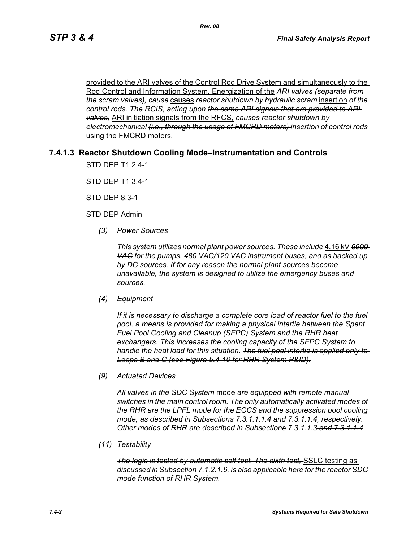provided to the ARI valves of the Control Rod Drive System and simultaneously to the Rod Control and Information System. Energization of the *ARI valves (separate from the scram valves), cause* causes *reactor shutdown by hydraulic scram* insertion *of the control rods. The RCIS, acting upon the same ARI signals that are provided to ARI valves,* ARI initiation signals from the RFCS, *causes reactor shutdown by electromechanical (i.e., through the usage of FMCRD motors) insertion of control rods*  using the FMCRD motors*.*

## **7.4.1.3 Reactor Shutdown Cooling Mode–Instrumentation and Controls**

STD DEP T1 2.4-1

STD DEP T1 3.4-1

STD DEP 8.3-1

STD DEP Admin

*(3) Power Sources*

*This system utilizes normal plant power sources. These include* 4.16 kV *6900 VAC for the pumps, 480 VAC/120 VAC instrument buses, and as backed up by DC sources. If for any reason the normal plant sources become unavailable, the system is designed to utilize the emergency buses and sources.*

*(4) Equipment*

*If it is necessary to discharge a complete core load of reactor fuel to the fuel pool, a means is provided for making a physical intertie between the Spent Fuel Pool Cooling and Cleanup (SFPC) System and the RHR heat exchangers. This increases the cooling capacity of the SFPC System to handle the heat load for this situation. The fuel pool intertie is applied only to Loops B and C (see Figure 5.4-10 for RHR System P&ID).*

*(9) Actuated Devices*

*All valves in the SDC System* mode *are equipped with remote manual switches in the main control room. The only automatically activated modes of the RHR are the LPFL mode for the ECCS and the suppression pool cooling mode, as described in Subsections 7.3.1.1.1.4 and 7.3.1.1.4, respectively. Other modes of RHR are described in Subsections 7.3.1.1.3 and 7.3.1.1.4*.

*(11) Testability*

*The logic is tested by automatic self test. The sixth test,* SSLC testing as *discussed in Subsection 7.1.2.1.6, is also applicable here for the reactor SDC mode function of RHR System.*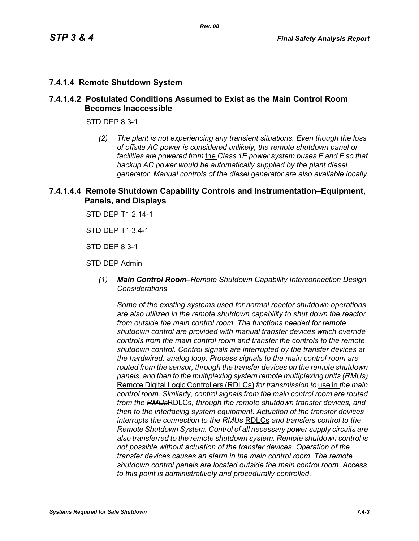## **7.4.1.4 Remote Shutdown System**

## **7.4.1.4.2 Postulated Conditions Assumed to Exist as the Main Control Room Becomes Inaccessible**

STD DEP 8.3-1

*(2) The plant is not experiencing any transient situations. Even though the loss of offsite AC power is considered unlikely, the remote shutdown panel or facilities are powered from* the *Class 1E power system buses E and F so that backup AC power would be automatically supplied by the plant diesel generator. Manual controls of the diesel generator are also available locally.*

## **7.4.1.4.4 Remote Shutdown Capability Controls and Instrumentation–Equipment, Panels, and Displays**

STD DEP T1 2.14-1

STD DEP T1 3.4-1

STD DEP 8.3-1

STD DEP Admin

*(1) Main Control Room–Remote Shutdown Capability Interconnection Design Considerations*

*Some of the existing systems used for normal reactor shutdown operations are also utilized in the remote shutdown capability to shut down the reactor from outside the main control room. The functions needed for remote shutdown control are provided with manual transfer devices which override controls from the main control room and transfer the controls to the remote shutdown control. Control signals are interrupted by the transfer devices at the hardwired, analog loop. Process signals to the main control room are routed from the sensor, through the transfer devices on the remote shutdown panels, and then to the multiplexing system remote multiplexing units (RMUs)* Remote Digital Logic Controllers (RDLCs) *for transmission to* use in *the main control room. Similarly, control signals from the main control room are routed from the RMUs*RDLCs*, through the remote shutdown transfer devices, and then to the interfacing system equipment. Actuation of the transfer devices interrupts the connection to the RMUs* RDLCs *and transfers control to the Remote Shutdown System. Control of all necessary power supply circuits are also transferred to the remote shutdown system. Remote shutdown control is not possible without actuation of the transfer devices. Operation of the transfer devices causes an alarm in the main control room. The remote shutdown control panels are located outside the main control room. Access to this point is administratively and procedurally controlled.*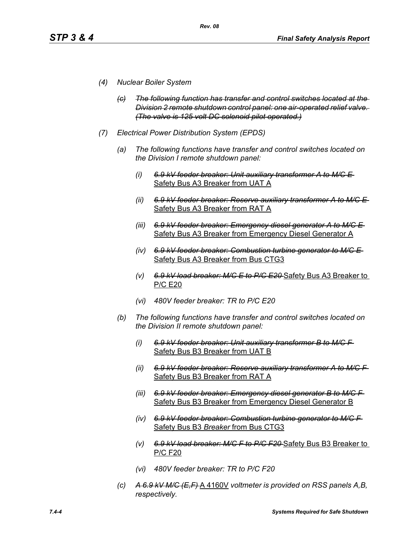- *(4) Nuclear Boiler System*
	- *(c) The following function has transfer and control switches located at the Division 2 remote shutdown control panel: one air-operated relief valve. (The valve is 125 volt DC solenoid pilot operated.)*
- *(7) Electrical Power Distribution System (EPDS)*
	- *(a) The following functions have transfer and control switches located on the Division I remote shutdown panel:*
		- *(i) 6.9 kV feeder breaker: Unit auxiliary transformer A to M/C E*  Safety Bus A3 Breaker from UAT A
		- *(ii) 6.9 kV feeder breaker: Reserve auxiliary transformer A to M/C E*  Safety Bus A3 Breaker from RAT A
		- *(iii) 6.9 kV feeder breaker: Emergency diesel generator A to M/C E*  Safety Bus A3 Breaker from Emergency Diesel Generator A
		- *(iv) 6.9 kV feeder breaker: Combustion turbine generator to M/C E*  Safety Bus A3 Breaker from Bus CTG3
		- *(v) 6.9 kV load breaker: M/C E to P/C E20* Safety Bus A3 Breaker to P/C E20
		- *(vi) 480V feeder breaker: TR to P/C E20*
	- *(b) The following functions have transfer and control switches located on the Division II remote shutdown panel:*
		- *(i) 6.9 kV feeder breaker: Unit auxiliary transformer B to M/C F*  Safety Bus B3 Breaker from UAT B
		- *(ii) 6.9 kV feeder breaker: Reserve auxiliary transformer A to M/C F*  Safety Bus B3 Breaker from RAT A
		- *(iii) 6.9 kV feeder breaker: Emergency diesel generator B to M/C F*  Safety Bus B3 Breaker from Emergency Diesel Generator B
		- *(iv) 6.9 kV feeder breaker: Combustion turbine generator to M/C F*  Safety Bus B3 *Breaker* from Bus CTG3
		- *(v) 6.9 kV load breaker: M/C F to P/C F20* Safety Bus B3 Breaker to P/C F20
		- *(vi) 480V feeder breaker: TR to P/C F20*
	- *(c) A 6.9 kV M/C (E,F)* A 4160V *voltmeter is provided on RSS panels A,B, respectively.*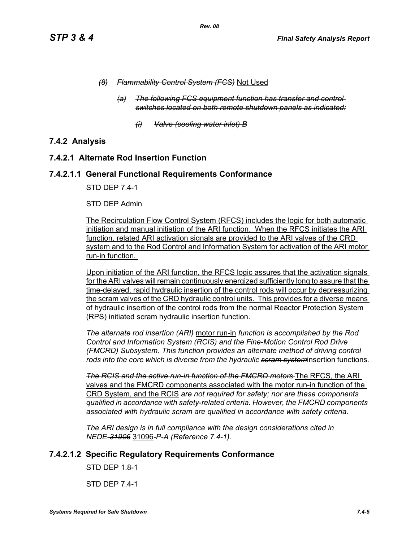- *(8) Flammability Control System (FCS)* Not Used
	- *(a) The following FCS equipment function has transfer and control switches located on both remote shutdown panels as indicated:*
		- *(i) Valve (cooling water inlet) B*

# **7.4.2 Analysis**

## **7.4.2.1 Alternate Rod Insertion Function**

### **7.4.2.1.1 General Functional Requirements Conformance**

STD DEP 7.4-1

### STD DEP Admin

The Recirculation Flow Control System (RFCS) includes the logic for both automatic initiation and manual initiation of the ARI function. When the RFCS initiates the ARI function, related ARI activation signals are provided to the ARI valves of the CRD system and to the Rod Control and Information System for activation of the ARI motor run-in function.

Upon initiation of the ARI function, the RFCS logic assures that the activation signals for the ARI valves will remain continuously energized sufficiently long to assure that the time-delayed, rapid hydraulic insertion of the control rods will occur by depressurizing the scram valves of the CRD hydraulic control units. This provides for a diverse means of hydraulic insertion of the control rods from the normal Reactor Protection System (RPS) initiated scram hydraulic insertion function.

*The alternate rod insertion (ARI)* motor run-in *function is accomplished by the Rod Control and Information System (RCIS) and the Fine-Motion Control Rod Drive (FMCRD) Subsystem. This function provides an alternate method of driving control rods into the core which is diverse from the hydraulic scram system*insertion functions*.*

**The RCIS and the active run-in function of the FMCRD motors** The RFCS, the ARI valves and the FMCRD components associated with the motor run-in function of the CRD System, and the RCIS *are not required for safety; nor are these components qualified in accordance with safety-related criteria. However, the FMCRD components associated with hydraulic scram are qualified in accordance with safety criteria.*

*The ARI design is in full compliance with the design considerations cited in NEDE-31906* 31096*-P-A (Reference 7.4-1).* 

# **7.4.2.1.2 Specific Regulatory Requirements Conformance**

STD DEP 1.8-1

STD DEP 7.4-1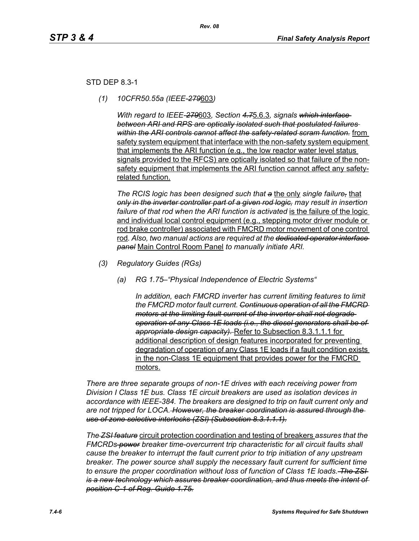# STD DEP 8.3-1

*(1) 10CFR50.55a (IEEE-279*603*)*

*With regard to IEEE-279*603*, Section 4.7*5.6.3*, signals which interface between ARI and RPS are optically isolated such that postulated failures within the ARI controls cannot affect the safety-related scram function.* from safety system equipment that interface with the non-safety system equipment that implements the ARI function (e.g., the low reactor water level status signals provided to the RFCS) are optically isolated so that failure of the nonsafety equipment that implements the ARI function cannot affect any safetyrelated function.

*The RCIS logic has been designed such that a* the only *single failure,* that *only in the inverter controller part of a given rod logic, may result in insertion*  failure of that rod when the ARI function is activated is the failure of the logic and individual local control equipment (e.g., stepping motor driver module or rod brake controller) associated with FMCRD motor movement of one control rod*. Also, two manual actions are required at the dedicated operator interface panel* Main Control Room Panel *to manually initiate ARI.* 

- *(3) Regulatory Guides (RGs)*
	- *(a) RG 1.75–"Physical Independence of Electric Systems"*

*In addition, each FMCRD inverter has current limiting features to limit the FMCRD motor fault current. Continuous operation of all the FMCRD motors at the limiting fault current of the inverter shall not degrade operation of any Class 1E loads (i.e., the diesel generators shall be of appropriate design capacity).* Refer to Subsection 8.3.1.1.1 for additional description of design features incorporated for preventing degradation of operation of any Class 1E loads if a fault condition exists in the non-Class 1E equipment that provides power for the FMCRD motors.

*There are three separate groups of non-1E drives with each receiving power from Division I Class 1E bus. Class 1E circuit breakers are used as isolation devices in accordance with IEEE-384. The breakers are designed to trip on fault current only and are not tripped for LOCA. However, the breaker coordination is assured through the use of zone selective interlocks (ZSI) (Subsection 8.3.1.1.1).*

*The ZSI feature* circuit protection coordination and testing of breakers *assures that the FMCRDs power breaker time-overcurrent trip characteristic for all circuit faults shall cause the breaker to interrupt the fault current prior to trip initiation of any upstream breaker. The power source shall supply the necessary fault current for sufficient time to ensure the proper coordination without loss of function of Class 1E loads. The ZSI is a new technology which assures breaker coordination, and thus meets the intent of position C-1 of Reg. Guide 1.75.*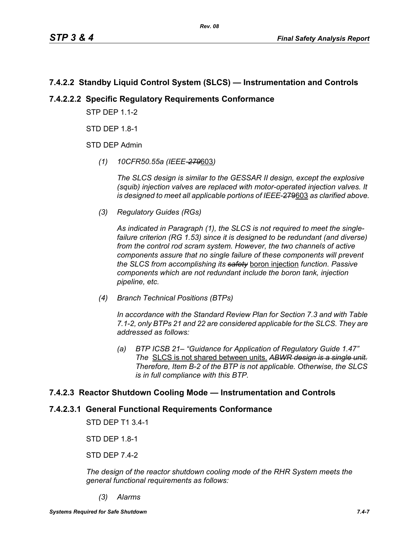# **7.4.2.2 Standby Liquid Control System (SLCS) — Instrumentation and Controls**

# **7.4.2.2.2 Specific Regulatory Requirements Conformance**

**STP DFP 1 1-2** 

STD DEP 1.8-1

STD DEP Admin

*(1) 10CFR50.55a (IEEE-279*603*)*

*The SLCS design is similar to the GESSAR II design, except the explosive (squib) injection valves are replaced with motor-operated injection valves. It is designed to meet all applicable portions of IEEE*-279603 *as clarified above.*

*(3) Regulatory Guides (RGs)*

*As indicated in Paragraph (1), the SLCS is not required to meet the singlefailure criterion (RG 1.53) since it is designed to be redundant (and diverse) from the control rod scram system. However, the two channels of active components assure that no single failure of these components will prevent the SLCS from accomplishing its safety* boron injection *function. Passive components which are not redundant include the boron tank, injection pipeline, etc.*

*(4) Branch Technical Positions (BTPs)*

*In accordance with the Standard Review Plan for Section 7.3 and with Table 7.1-2, only BTPs 21 and 22 are considered applicable for the SLCS. They are addressed as follows:*

*(a) BTP ICSB 21– "Guidance for Application of Regulatory Guide 1.47" The* SLCS is not shared between units. *ABWR design is a single unit. Therefore, Item B-2 of the BTP is not applicable. Otherwise, the SLCS is in full compliance with this BTP.*

# **7.4.2.3 Reactor Shutdown Cooling Mode — Instrumentation and Controls**

# **7.4.2.3.1 General Functional Requirements Conformance**

STD DEP T1 3.4-1

STD DEP 1.8-1

STD DEP 7.4-2

*The design of the reactor shutdown cooling mode of the RHR System meets the general functional requirements as follows:*

*(3) Alarms*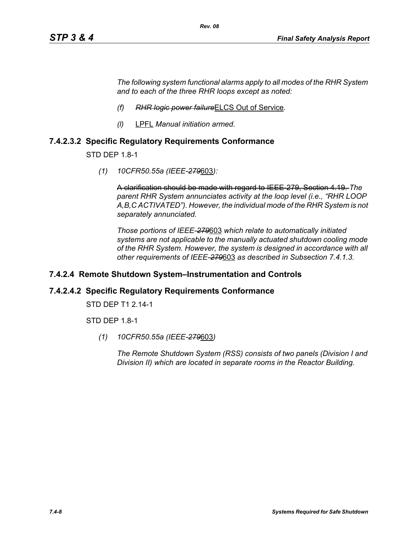*The following system functional alarms apply to all modes of the RHR System and to each of the three RHR loops except as noted:*

- *(f) RHR logic power failure*ELCS Out of Service*.*
- *(l)* LPFL *Manual initiation armed.*

## **7.4.2.3.2 Specific Regulatory Requirements Conformance**

STD DEP 1.8-1

*(1) 10CFR50.55a (IEEE-279*603*):*

A clarification should be made with regard to IEEE-279, Section 4.19. *The parent RHR System annunciates activity at the loop level (i.e., "RHR LOOP A,B,C ACTIVATED"). However, the individual mode of the RHR System is not separately annunciated.*

*Those portions of IEEE-279*603 *which relate to automatically initiated systems are not applicable to the manually actuated shutdown cooling mode of the RHR System. However, the system is designed in accordance with all other requirements of IEEE-279*603 *as described in Subsection 7.4.1.3.*

### **7.4.2.4 Remote Shutdown System–Instrumentation and Controls**

### **7.4.2.4.2 Specific Regulatory Requirements Conformance**

STD DEP T1 2.14-1

STD DEP 1.8-1

*(1) 10CFR50.55a (IEEE-279*603*)*

*The Remote Shutdown System (RSS) consists of two panels (Division I and Division II) which are located in separate rooms in the Reactor Building.*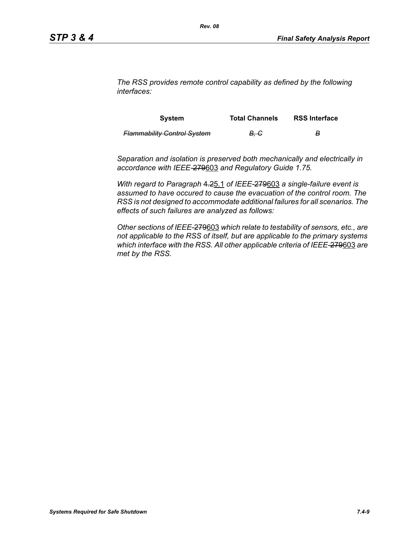*The RSS provides remote control capability as defined by the following interfaces:*

| System                             | <b>Total Channels</b> | <b>RSS Interface</b> |
|------------------------------------|-----------------------|----------------------|
| <b>Flammability Control System</b> | . B. G                | в                    |

*Separation and isolation is preserved both mechanically and electrically in accordance with IEEE-*279603 *and Regulatory Guide 1.75.*

*With regard to Paragraph* 4.25.1 *of IEEE-*279603 *a single-failure event is assumed to have occured to cause the evacuation of the control room. The RSS is not designed to accommodate additional failures for all scenarios. The effects of such failures are analyzed as follows:*

*Other sections of IEEE-*279603 *which relate to testability of sensors, etc., are not applicable to the RSS of itself, but are applicable to the primary systems which interface with the RSS. All other applicable criteria of IEEE-*279603 *are met by the RSS.*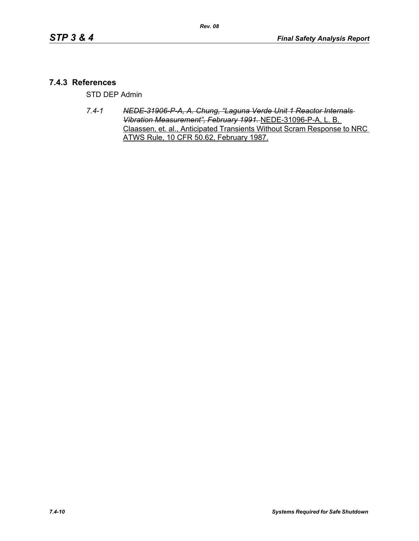## **7.4.3 References**

STD DEP Admin

*7.4-1 NEDE-31906-P-A, A. Chung, "Laguna Verde Unit 1 Reactor Internals Vibration Measurement", February 1991.* NEDE-31096-P-A, L. B. Claassen, et. al., Anticipated Transients Without Scram Response to NRC ATWS Rule, 10 CFR 50.62, February 1987.